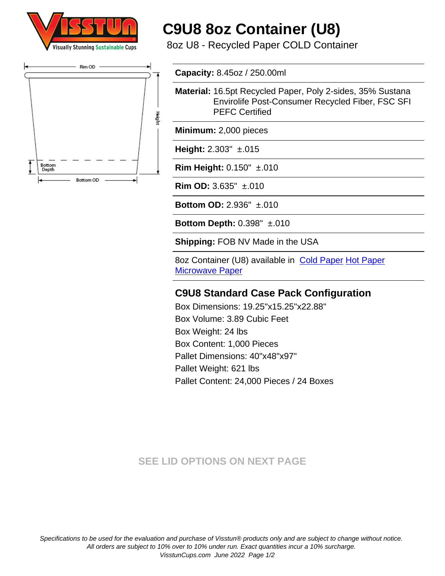



# **C9U8 8oz Container (U8)**

8oz U8 - Recycled Paper COLD Container

**Capacity:** 8.45oz / 250.00ml

**Material:** 16.5pt Recycled Paper, Poly 2-sides, 35% Sustana Envirolife Post-Consumer Recycled Fiber, FSC SFI PEFC Certified

**Minimum:** 2,000 pieces

**Height:** 2.303" ±.015

**Rim Height:** 0.150" ±.010

**Rim OD:** 3.635" ±.010

**Bottom OD:** 2.936" ±.010

**Bottom Depth:** 0.398" ±.010

**Shipping:** FOB NV Made in the USA

8oz Container (U8) available in [Cold Paper](https://www.visstuncups.com/C9U8) [Hot Paper](https://www.visstuncups.com/H9U8) **[Microwave Paper](https://www.visstuncups.com/CHU8)** 

### **C9U8 Standard Case Pack Configuration**

Box Dimensions: 19.25"x15.25"x22.88" Box Volume: 3.89 Cubic Feet Box Weight: 24 lbs Box Content: 1,000 Pieces Pallet Dimensions: 40"x48"x97" Pallet Weight: 621 lbs Pallet Content: 24,000 Pieces / 24 Boxes

## **SEE LID OPTIONS ON NEXT PAGE**